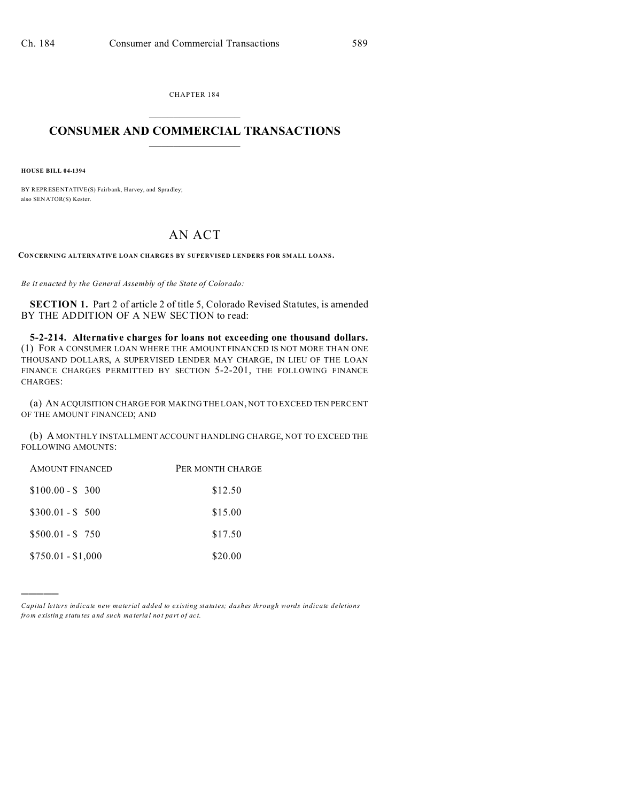CHAPTER 184  $\overline{\phantom{a}}$  , where  $\overline{\phantom{a}}$ 

## **CONSUMER AND COMMERCIAL TRANSACTIONS**  $\_$   $\_$   $\_$   $\_$   $\_$   $\_$   $\_$   $\_$

**HOUSE BILL 04-1394**

)))))

BY REPRESENTATIVE(S) Fairb ank, Harvey, and Spradley; also SENATOR(S) Kester.

## AN ACT

CONCERNING ALTERNATIVE LOAN CHARGES BY SUPERVISED LENDERS FOR SMALL LOANS.

*Be it enacted by the General Assembly of the State of Colorado:*

**SECTION 1.** Part 2 of article 2 of title 5, Colorado Revised Statutes, is amended BY THE ADDITION OF A NEW SECTION to read:

**5-2-214. Alternative charges for loans not exceeding one thousand dollars.** (1) FOR A CONSUMER LOAN WHERE THE AMOUNT FINANCED IS NOT MORE THAN ONE THOUSAND DOLLARS, A SUPERVISED LENDER MAY CHARGE, IN LIEU OF THE LOAN FINANCE CHARGES PERMITTED BY SECTION 5-2-201, THE FOLLOWING FINANCE CHARGES:

(a) AN ACQUISITION CHARGE FOR MAKING THE LOAN, NOT TO EXCEED TEN PERCENT OF THE AMOUNT FINANCED; AND

(b) A MONTHLY INSTALLMENT ACCOUNT HANDLING CHARGE, NOT TO EXCEED THE FOLLOWING AMOUNTS:

| <b>AMOUNT FINANCED</b> | PER MONTH CHARGE |
|------------------------|------------------|
| $$100.00 - $300$       | \$12.50          |
| $$300.01 - $500$       | \$15.00          |
| $$500.01 - $750$       | \$17.50          |
| $$750.01 - $1,000$     | \$20.00          |

*Capital letters indicate new material added to existing statutes; dashes through words indicate deletions from e xistin g statu tes a nd such ma teria l no t pa rt of ac t.*